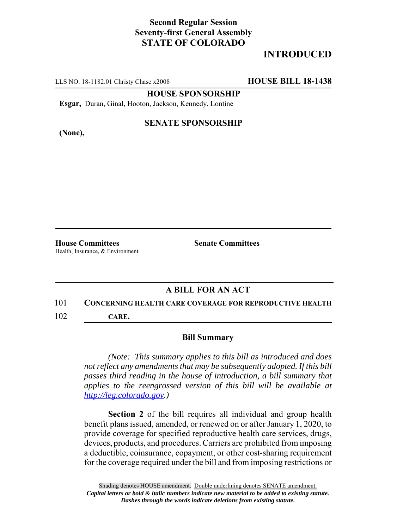## **Second Regular Session Seventy-first General Assembly STATE OF COLORADO**

# **INTRODUCED**

LLS NO. 18-1182.01 Christy Chase x2008 **HOUSE BILL 18-1438**

**HOUSE SPONSORSHIP**

**Esgar,** Duran, Ginal, Hooton, Jackson, Kennedy, Lontine

**(None),**

#### **SENATE SPONSORSHIP**

**House Committees Senate Committees** Health, Insurance, & Environment

### **A BILL FOR AN ACT**

#### 101 **CONCERNING HEALTH CARE COVERAGE FOR REPRODUCTIVE HEALTH**

102 **CARE.**

#### **Bill Summary**

*(Note: This summary applies to this bill as introduced and does not reflect any amendments that may be subsequently adopted. If this bill passes third reading in the house of introduction, a bill summary that applies to the reengrossed version of this bill will be available at http://leg.colorado.gov.)*

**Section 2** of the bill requires all individual and group health benefit plans issued, amended, or renewed on or after January 1, 2020, to provide coverage for specified reproductive health care services, drugs, devices, products, and procedures. Carriers are prohibited from imposing a deductible, coinsurance, copayment, or other cost-sharing requirement for the coverage required under the bill and from imposing restrictions or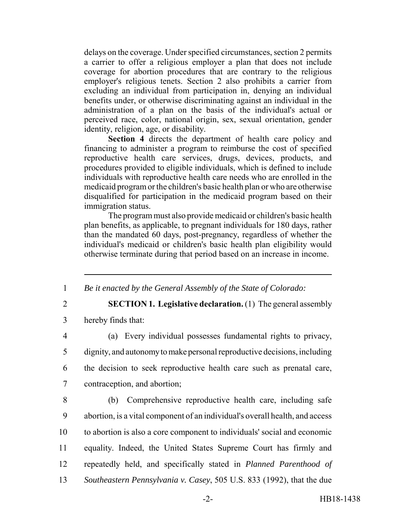delays on the coverage. Under specified circumstances, section 2 permits a carrier to offer a religious employer a plan that does not include coverage for abortion procedures that are contrary to the religious employer's religious tenets. Section 2 also prohibits a carrier from excluding an individual from participation in, denying an individual benefits under, or otherwise discriminating against an individual in the administration of a plan on the basis of the individual's actual or perceived race, color, national origin, sex, sexual orientation, gender identity, religion, age, or disability.

**Section 4** directs the department of health care policy and financing to administer a program to reimburse the cost of specified reproductive health care services, drugs, devices, products, and procedures provided to eligible individuals, which is defined to include individuals with reproductive health care needs who are enrolled in the medicaid program or the children's basic health plan or who are otherwise disqualified for participation in the medicaid program based on their immigration status.

The program must also provide medicaid or children's basic health plan benefits, as applicable, to pregnant individuals for 180 days, rather than the mandated 60 days, post-pregnancy, regardless of whether the individual's medicaid or children's basic health plan eligibility would otherwise terminate during that period based on an increase in income.

1 *Be it enacted by the General Assembly of the State of Colorado:*

2 **SECTION 1. Legislative declaration.** (1) The general assembly

3 hereby finds that:

 (a) Every individual possesses fundamental rights to privacy, dignity, and autonomy to make personal reproductive decisions, including the decision to seek reproductive health care such as prenatal care, contraception, and abortion;

 (b) Comprehensive reproductive health care, including safe abortion, is a vital component of an individual's overall health, and access to abortion is also a core component to individuals' social and economic equality. Indeed, the United States Supreme Court has firmly and repeatedly held, and specifically stated in *Planned Parenthood of Southeastern Pennsylvania v. Casey*, 505 U.S. 833 (1992), that the due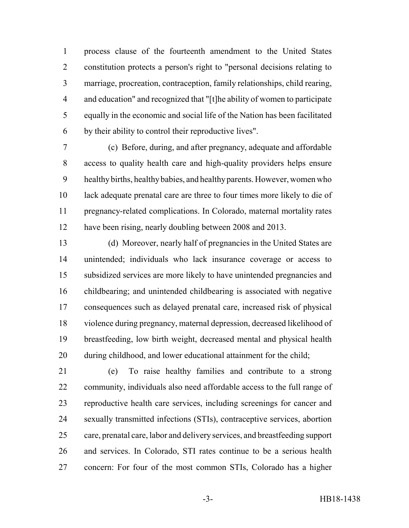process clause of the fourteenth amendment to the United States constitution protects a person's right to "personal decisions relating to marriage, procreation, contraception, family relationships, child rearing, and education" and recognized that "[t]he ability of women to participate equally in the economic and social life of the Nation has been facilitated by their ability to control their reproductive lives".

 (c) Before, during, and after pregnancy, adequate and affordable access to quality health care and high-quality providers helps ensure healthy births, healthy babies, and healthy parents. However, women who lack adequate prenatal care are three to four times more likely to die of pregnancy-related complications. In Colorado, maternal mortality rates have been rising, nearly doubling between 2008 and 2013.

 (d) Moreover, nearly half of pregnancies in the United States are unintended; individuals who lack insurance coverage or access to subsidized services are more likely to have unintended pregnancies and childbearing; and unintended childbearing is associated with negative consequences such as delayed prenatal care, increased risk of physical violence during pregnancy, maternal depression, decreased likelihood of breastfeeding, low birth weight, decreased mental and physical health during childhood, and lower educational attainment for the child;

 (e) To raise healthy families and contribute to a strong community, individuals also need affordable access to the full range of reproductive health care services, including screenings for cancer and sexually transmitted infections (STIs), contraceptive services, abortion care, prenatal care, labor and delivery services, and breastfeeding support and services. In Colorado, STI rates continue to be a serious health concern: For four of the most common STIs, Colorado has a higher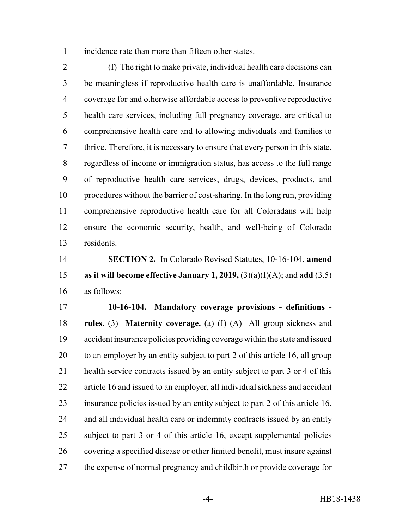incidence rate than more than fifteen other states.

 (f) The right to make private, individual health care decisions can be meaningless if reproductive health care is unaffordable. Insurance coverage for and otherwise affordable access to preventive reproductive health care services, including full pregnancy coverage, are critical to comprehensive health care and to allowing individuals and families to thrive. Therefore, it is necessary to ensure that every person in this state, regardless of income or immigration status, has access to the full range of reproductive health care services, drugs, devices, products, and procedures without the barrier of cost-sharing. In the long run, providing comprehensive reproductive health care for all Coloradans will help ensure the economic security, health, and well-being of Colorado residents.

 **SECTION 2.** In Colorado Revised Statutes, 10-16-104, **amend as it will become effective January 1, 2019,** (3)(a)(I)(A); and **add** (3.5) as follows:

 **10-16-104. Mandatory coverage provisions - definitions - rules.** (3) **Maternity coverage.** (a) (I) (A) All group sickness and accident insurance policies providing coverage within the state and issued to an employer by an entity subject to part 2 of this article 16, all group health service contracts issued by an entity subject to part 3 or 4 of this article 16 and issued to an employer, all individual sickness and accident insurance policies issued by an entity subject to part 2 of this article 16, and all individual health care or indemnity contracts issued by an entity subject to part 3 or 4 of this article 16, except supplemental policies covering a specified disease or other limited benefit, must insure against the expense of normal pregnancy and childbirth or provide coverage for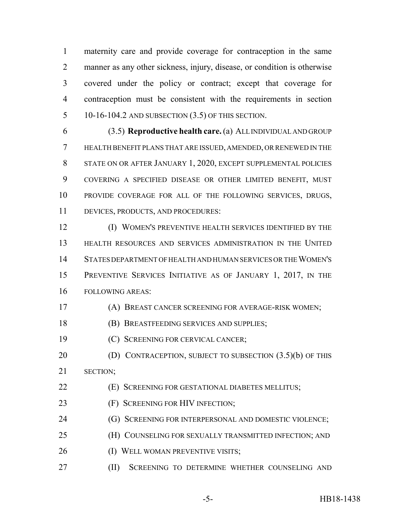maternity care and provide coverage for contraception in the same manner as any other sickness, injury, disease, or condition is otherwise covered under the policy or contract; except that coverage for contraception must be consistent with the requirements in section 10-16-104.2 AND SUBSECTION (3.5) OF THIS SECTION.

 (3.5) **Reproductive health care.** (a) ALL INDIVIDUAL AND GROUP HEALTH BENEFIT PLANS THAT ARE ISSUED, AMENDED, OR RENEWED IN THE STATE ON OR AFTER JANUARY 1, 2020, EXCEPT SUPPLEMENTAL POLICIES COVERING A SPECIFIED DISEASE OR OTHER LIMITED BENEFIT, MUST PROVIDE COVERAGE FOR ALL OF THE FOLLOWING SERVICES, DRUGS, DEVICES, PRODUCTS, AND PROCEDURES:

 (I) WOMEN'S PREVENTIVE HEALTH SERVICES IDENTIFIED BY THE HEALTH RESOURCES AND SERVICES ADMINISTRATION IN THE UNITED STATES DEPARTMENT OF HEALTH AND HUMAN SERVICES OR THE WOMEN'S PREVENTIVE SERVICES INITIATIVE AS OF JANUARY 1, 2017, IN THE FOLLOWING AREAS:

(A) BREAST CANCER SCREENING FOR AVERAGE-RISK WOMEN;

(B) BREASTFEEDING SERVICES AND SUPPLIES;

(C) SCREENING FOR CERVICAL CANCER;

**(D) CONTRACEPTION, SUBJECT TO SUBSECTION (3.5)(b) OF THIS** SECTION;

(E) SCREENING FOR GESTATIONAL DIABETES MELLITUS;

**(F) SCREENING FOR HIV INFECTION;** 

**(G) SCREENING FOR INTERPERSONAL AND DOMESTIC VIOLENCE;** 

(H) COUNSELING FOR SEXUALLY TRANSMITTED INFECTION; AND

26 (I) WELL WOMAN PREVENTIVE VISITS;

27 (II) SCREENING TO DETERMINE WHETHER COUNSELING AND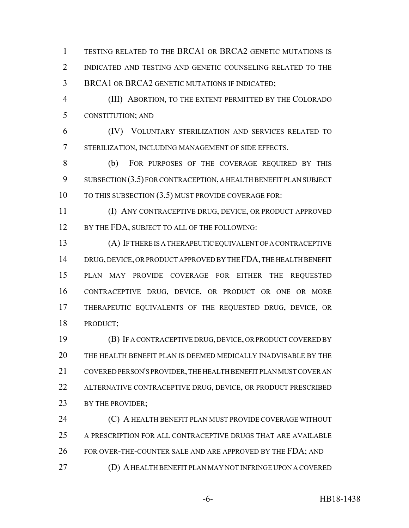TESTING RELATED TO THE BRCA1 OR BRCA2 GENETIC MUTATIONS IS 2 INDICATED AND TESTING AND GENETIC COUNSELING RELATED TO THE BRCA1 OR BRCA2 GENETIC MUTATIONS IF INDICATED;

 (III) ABORTION, TO THE EXTENT PERMITTED BY THE COLORADO CONSTITUTION; AND

 (IV) VOLUNTARY STERILIZATION AND SERVICES RELATED TO STERILIZATION, INCLUDING MANAGEMENT OF SIDE EFFECTS.

 (b) FOR PURPOSES OF THE COVERAGE REQUIRED BY THIS 9 SUBSECTION (3.5) FOR CONTRACEPTION, A HEALTH BENEFIT PLAN SUBJECT 10 TO THIS SUBSECTION (3.5) MUST PROVIDE COVERAGE FOR:

 (I) ANY CONTRACEPTIVE DRUG, DEVICE, OR PRODUCT APPROVED 12 BY THE FDA, SUBJECT TO ALL OF THE FOLLOWING:

 (A) IF THERE IS A THERAPEUTIC EQUIVALENT OF A CONTRACEPTIVE 14 DRUG, DEVICE, OR PRODUCT APPROVED BY THE FDA, THE HEALTH BENEFIT PLAN MAY PROVIDE COVERAGE FOR EITHER THE REQUESTED CONTRACEPTIVE DRUG, DEVICE, OR PRODUCT OR ONE OR MORE THERAPEUTIC EQUIVALENTS OF THE REQUESTED DRUG, DEVICE, OR PRODUCT;

 (B) IF A CONTRACEPTIVE DRUG, DEVICE, OR PRODUCT COVERED BY THE HEALTH BENEFIT PLAN IS DEEMED MEDICALLY INADVISABLE BY THE COVERED PERSON'S PROVIDER, THE HEALTH BENEFIT PLAN MUST COVER AN ALTERNATIVE CONTRACEPTIVE DRUG, DEVICE, OR PRODUCT PRESCRIBED 23 BY THE PROVIDER;

**(C) A HEALTH BENEFIT PLAN MUST PROVIDE COVERAGE WITHOUT**  A PRESCRIPTION FOR ALL CONTRACEPTIVE DRUGS THAT ARE AVAILABLE 26 FOR OVER-THE-COUNTER SALE AND ARE APPROVED BY THE FDA; AND (D) A HEALTH BENEFIT PLAN MAY NOT INFRINGE UPON A COVERED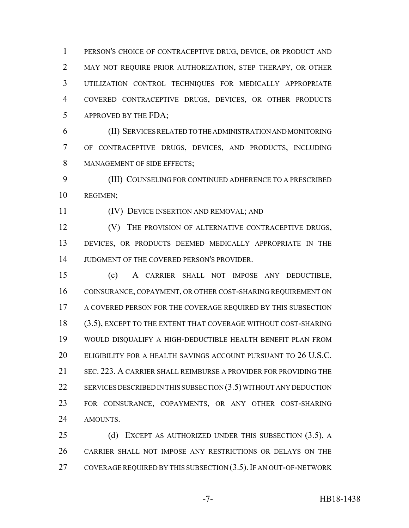PERSON'S CHOICE OF CONTRACEPTIVE DRUG, DEVICE, OR PRODUCT AND MAY NOT REQUIRE PRIOR AUTHORIZATION, STEP THERAPY, OR OTHER UTILIZATION CONTROL TECHNIQUES FOR MEDICALLY APPROPRIATE COVERED CONTRACEPTIVE DRUGS, DEVICES, OR OTHER PRODUCTS APPROVED BY THE FDA;

 (II) SERVICES RELATED TO THE ADMINISTRATION AND MONITORING OF CONTRACEPTIVE DRUGS, DEVICES, AND PRODUCTS, INCLUDING MANAGEMENT OF SIDE EFFECTS;

 (III) COUNSELING FOR CONTINUED ADHERENCE TO A PRESCRIBED REGIMEN;

## (IV) DEVICE INSERTION AND REMOVAL; AND

**(V)** THE PROVISION OF ALTERNATIVE CONTRACEPTIVE DRUGS, DEVICES, OR PRODUCTS DEEMED MEDICALLY APPROPRIATE IN THE JUDGMENT OF THE COVERED PERSON'S PROVIDER.

 (c) A CARRIER SHALL NOT IMPOSE ANY DEDUCTIBLE, COINSURANCE, COPAYMENT, OR OTHER COST-SHARING REQUIREMENT ON A COVERED PERSON FOR THE COVERAGE REQUIRED BY THIS SUBSECTION (3.5), EXCEPT TO THE EXTENT THAT COVERAGE WITHOUT COST-SHARING WOULD DISQUALIFY A HIGH-DEDUCTIBLE HEALTH BENEFIT PLAN FROM ELIGIBILITY FOR A HEALTH SAVINGS ACCOUNT PURSUANT TO 26 U.S.C. SEC. 223. A CARRIER SHALL REIMBURSE A PROVIDER FOR PROVIDING THE 22 SERVICES DESCRIBED IN THIS SUBSECTION (3.5) WITHOUT ANY DEDUCTION FOR COINSURANCE, COPAYMENTS, OR ANY OTHER COST-SHARING AMOUNTS.

25 (d) EXCEPT AS AUTHORIZED UNDER THIS SUBSECTION (3.5), A CARRIER SHALL NOT IMPOSE ANY RESTRICTIONS OR DELAYS ON THE 27 COVERAGE REQUIRED BY THIS SUBSECTION (3.5). IF AN OUT-OF-NETWORK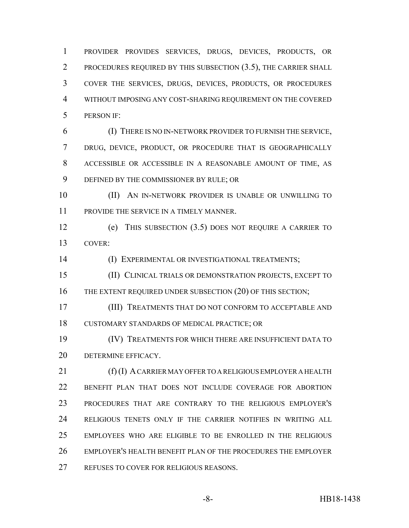PROVIDER PROVIDES SERVICES, DRUGS, DEVICES, PRODUCTS, OR PROCEDURES REQUIRED BY THIS SUBSECTION (3.5), THE CARRIER SHALL COVER THE SERVICES, DRUGS, DEVICES, PRODUCTS, OR PROCEDURES WITHOUT IMPOSING ANY COST-SHARING REQUIREMENT ON THE COVERED PERSON IF:

 (I) THERE IS NO IN-NETWORK PROVIDER TO FURNISH THE SERVICE, DRUG, DEVICE, PRODUCT, OR PROCEDURE THAT IS GEOGRAPHICALLY ACCESSIBLE OR ACCESSIBLE IN A REASONABLE AMOUNT OF TIME, AS DEFINED BY THE COMMISSIONER BY RULE; OR

 (II) AN IN-NETWORK PROVIDER IS UNABLE OR UNWILLING TO PROVIDE THE SERVICE IN A TIMELY MANNER.

 (e) THIS SUBSECTION (3.5) DOES NOT REQUIRE A CARRIER TO COVER:

(I) EXPERIMENTAL OR INVESTIGATIONAL TREATMENTS;

 (II) CLINICAL TRIALS OR DEMONSTRATION PROJECTS, EXCEPT TO 16 THE EXTENT REQUIRED UNDER SUBSECTION (20) OF THIS SECTION;

 (III) TREATMENTS THAT DO NOT CONFORM TO ACCEPTABLE AND CUSTOMARY STANDARDS OF MEDICAL PRACTICE; OR

 (IV) TREATMENTS FOR WHICH THERE ARE INSUFFICIENT DATA TO DETERMINE EFFICACY.

21 (f) (I) A CARRIER MAY OFFER TO A RELIGIOUS EMPLOYER A HEALTH BENEFIT PLAN THAT DOES NOT INCLUDE COVERAGE FOR ABORTION PROCEDURES THAT ARE CONTRARY TO THE RELIGIOUS EMPLOYER'S RELIGIOUS TENETS ONLY IF THE CARRIER NOTIFIES IN WRITING ALL EMPLOYEES WHO ARE ELIGIBLE TO BE ENROLLED IN THE RELIGIOUS EMPLOYER'S HEALTH BENEFIT PLAN OF THE PROCEDURES THE EMPLOYER 27 REFUSES TO COVER FOR RELIGIOUS REASONS.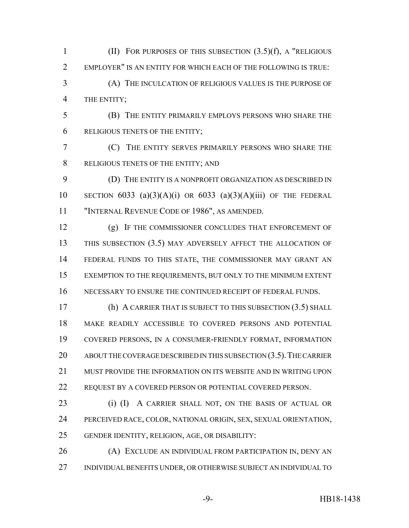(II) FOR PURPOSES OF THIS SUBSECTION (3.5)(f), A "RELIGIOUS EMPLOYER" IS AN ENTITY FOR WHICH EACH OF THE FOLLOWING IS TRUE:

 (A) THE INCULCATION OF RELIGIOUS VALUES IS THE PURPOSE OF THE ENTITY;

 (B) THE ENTITY PRIMARILY EMPLOYS PERSONS WHO SHARE THE RELIGIOUS TENETS OF THE ENTITY;

 (C) THE ENTITY SERVES PRIMARILY PERSONS WHO SHARE THE RELIGIOUS TENETS OF THE ENTITY; AND

 (D) THE ENTITY IS A NONPROFIT ORGANIZATION AS DESCRIBED IN 10 SECTION 6033 (a)(3)(A)(i) OR 6033 (a)(3)(A)(iii) OF THE FEDERAL "INTERNAL REVENUE CODE OF 1986", AS AMENDED.

 (g) IF THE COMMISSIONER CONCLUDES THAT ENFORCEMENT OF THIS SUBSECTION (3.5) MAY ADVERSELY AFFECT THE ALLOCATION OF FEDERAL FUNDS TO THIS STATE, THE COMMISSIONER MAY GRANT AN EXEMPTION TO THE REQUIREMENTS, BUT ONLY TO THE MINIMUM EXTENT NECESSARY TO ENSURE THE CONTINUED RECEIPT OF FEDERAL FUNDS.

 (h) A CARRIER THAT IS SUBJECT TO THIS SUBSECTION (3.5) SHALL MAKE READILY ACCESSIBLE TO COVERED PERSONS AND POTENTIAL COVERED PERSONS, IN A CONSUMER-FRIENDLY FORMAT, INFORMATION 20 ABOUT THE COVERAGE DESCRIBED IN THIS SUBSECTION (3.5). THE CARRIER MUST PROVIDE THE INFORMATION ON ITS WEBSITE AND IN WRITING UPON REQUEST BY A COVERED PERSON OR POTENTIAL COVERED PERSON.

23 (i) (I) A CARRIER SHALL NOT, ON THE BASIS OF ACTUAL OR PERCEIVED RACE, COLOR, NATIONAL ORIGIN, SEX, SEXUAL ORIENTATION, GENDER IDENTITY, RELIGION, AGE, OR DISABILITY:

 (A) EXCLUDE AN INDIVIDUAL FROM PARTICIPATION IN, DENY AN INDIVIDUAL BENEFITS UNDER, OR OTHERWISE SUBJECT AN INDIVIDUAL TO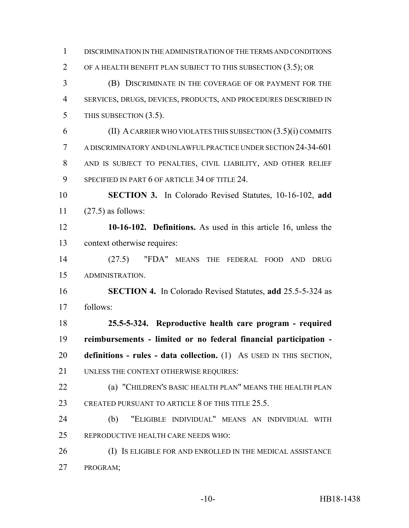DISCRIMINATION IN THE ADMINISTRATION OF THE TERMS AND CONDITIONS OF A HEALTH BENEFIT PLAN SUBJECT TO THIS SUBSECTION (3.5); OR (B) DISCRIMINATE IN THE COVERAGE OF OR PAYMENT FOR THE SERVICES, DRUGS, DEVICES, PRODUCTS, AND PROCEDURES DESCRIBED IN 5 THIS SUBSECTION (3.5). (II) A CARRIER WHO VIOLATES THIS SUBSECTION (3.5)(i) COMMITS A DISCRIMINATORY AND UNLAWFUL PRACTICE UNDER SECTION 24-34-601 AND IS SUBJECT TO PENALTIES, CIVIL LIABILITY, AND OTHER RELIEF 9 SPECIFIED IN PART 6 OF ARTICLE 34 OF TITLE 24. **SECTION 3.** In Colorado Revised Statutes, 10-16-102, **add** (27.5) as follows: **10-16-102. Definitions.** As used in this article 16, unless the context otherwise requires: (27.5) "FDA" MEANS THE FEDERAL FOOD AND DRUG ADMINISTRATION. **SECTION 4.** In Colorado Revised Statutes, **add** 25.5-5-324 as follows: **25.5-5-324. Reproductive health care program - required reimbursements - limited or no federal financial participation - definitions - rules - data collection.** (1) AS USED IN THIS SECTION, 21 UNLESS THE CONTEXT OTHERWISE REQUIRES: (a) "CHILDREN'S BASIC HEALTH PLAN" MEANS THE HEALTH PLAN 23 CREATED PURSUANT TO ARTICLE 8 OF THIS TITLE 25.5. (b) "ELIGIBLE INDIVIDUAL" MEANS AN INDIVIDUAL WITH REPRODUCTIVE HEALTH CARE NEEDS WHO: 26 (I) IS ELIGIBLE FOR AND ENROLLED IN THE MEDICAL ASSISTANCE PROGRAM;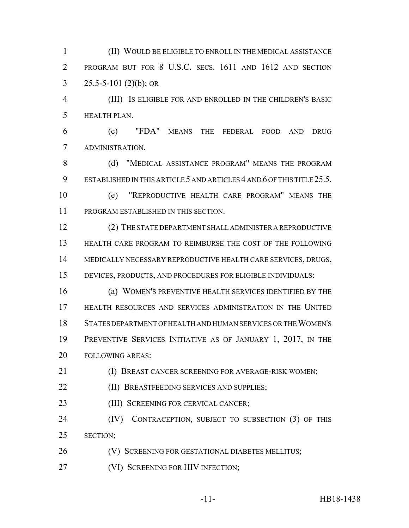(II) WOULD BE ELIGIBLE TO ENROLL IN THE MEDICAL ASSISTANCE PROGRAM BUT FOR 8 U.S.C. SECS. 1611 AND 1612 AND SECTION 3 25.5-5-101 (2)(b); OR

 (III) IS ELIGIBLE FOR AND ENROLLED IN THE CHILDREN'S BASIC HEALTH PLAN.

 (c) "FDA" MEANS THE FEDERAL FOOD AND DRUG ADMINISTRATION.

8 (d) "MEDICAL ASSISTANCE PROGRAM" MEANS THE PROGRAM ESTABLISHED IN THIS ARTICLE 5 AND ARTICLES 4 AND 6 OF THIS TITLE 25.5.

 (e) "REPRODUCTIVE HEALTH CARE PROGRAM" MEANS THE PROGRAM ESTABLISHED IN THIS SECTION.

 (2) THE STATE DEPARTMENT SHALL ADMINISTER A REPRODUCTIVE HEALTH CARE PROGRAM TO REIMBURSE THE COST OF THE FOLLOWING MEDICALLY NECESSARY REPRODUCTIVE HEALTH CARE SERVICES, DRUGS, DEVICES, PRODUCTS, AND PROCEDURES FOR ELIGIBLE INDIVIDUALS:

 (a) WOMEN'S PREVENTIVE HEALTH SERVICES IDENTIFIED BY THE HEALTH RESOURCES AND SERVICES ADMINISTRATION IN THE UNITED STATES DEPARTMENT OF HEALTH AND HUMAN SERVICES OR THE WOMEN'S PREVENTIVE SERVICES INITIATIVE AS OF JANUARY 1, 2017, IN THE FOLLOWING AREAS:

**(I) BREAST CANCER SCREENING FOR AVERAGE-RISK WOMEN;** 

**(II) BREASTFEEDING SERVICES AND SUPPLIES;** 

23 (III) SCREENING FOR CERVICAL CANCER;

24 (IV) CONTRACEPTION, SUBJECT TO SUBSECTION (3) OF THIS SECTION;

(V) SCREENING FOR GESTATIONAL DIABETES MELLITUS;

**(VI) SCREENING FOR HIV INFECTION;**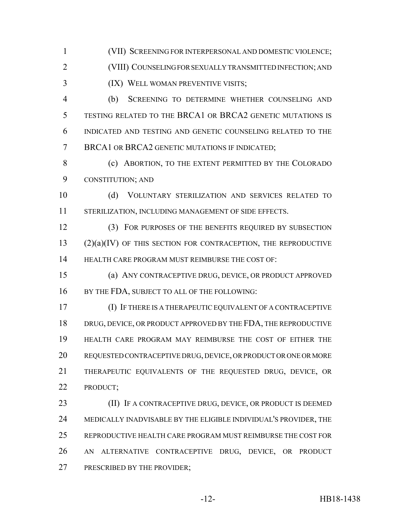(VII) SCREENING FOR INTERPERSONAL AND DOMESTIC VIOLENCE;

(VIII) COUNSELING FOR SEXUALLY TRANSMITTED INFECTION; AND

(IX) WELL WOMAN PREVENTIVE VISITS;

 (b) SCREENING TO DETERMINE WHETHER COUNSELING AND TESTING RELATED TO THE BRCA1 OR BRCA2 GENETIC MUTATIONS IS INDICATED AND TESTING AND GENETIC COUNSELING RELATED TO THE 7 BRCA1 OR BRCA2 GENETIC MUTATIONS IF INDICATED;

8 (c) ABORTION, TO THE EXTENT PERMITTED BY THE COLORADO CONSTITUTION; AND

 (d) VOLUNTARY STERILIZATION AND SERVICES RELATED TO STERILIZATION, INCLUDING MANAGEMENT OF SIDE EFFECTS.

 (3) FOR PURPOSES OF THE BENEFITS REQUIRED BY SUBSECTION (2)(a)(IV) OF THIS SECTION FOR CONTRACEPTION, THE REPRODUCTIVE HEALTH CARE PROGRAM MUST REIMBURSE THE COST OF:

 (a) ANY CONTRACEPTIVE DRUG, DEVICE, OR PRODUCT APPROVED 16 BY THE FDA, SUBJECT TO ALL OF THE FOLLOWING:

 (I) IF THERE IS A THERAPEUTIC EQUIVALENT OF A CONTRACEPTIVE 18 DRUG, DEVICE, OR PRODUCT APPROVED BY THE FDA, THE REPRODUCTIVE HEALTH CARE PROGRAM MAY REIMBURSE THE COST OF EITHER THE REQUESTED CONTRACEPTIVE DRUG, DEVICE, OR PRODUCT OR ONE OR MORE THERAPEUTIC EQUIVALENTS OF THE REQUESTED DRUG, DEVICE, OR PRODUCT;

**(II)** IF A CONTRACEPTIVE DRUG, DEVICE, OR PRODUCT IS DEEMED MEDICALLY INADVISABLE BY THE ELIGIBLE INDIVIDUAL'S PROVIDER, THE REPRODUCTIVE HEALTH CARE PROGRAM MUST REIMBURSE THE COST FOR AN ALTERNATIVE CONTRACEPTIVE DRUG, DEVICE, OR PRODUCT PRESCRIBED BY THE PROVIDER;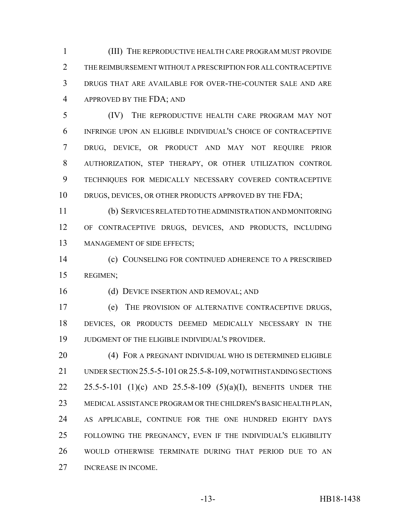(III) THE REPRODUCTIVE HEALTH CARE PROGRAM MUST PROVIDE THE REIMBURSEMENT WITHOUT A PRESCRIPTION FOR ALL CONTRACEPTIVE DRUGS THAT ARE AVAILABLE FOR OVER-THE-COUNTER SALE AND ARE APPROVED BY THE FDA; AND

 (IV) THE REPRODUCTIVE HEALTH CARE PROGRAM MAY NOT INFRINGE UPON AN ELIGIBLE INDIVIDUAL'S CHOICE OF CONTRACEPTIVE DRUG, DEVICE, OR PRODUCT AND MAY NOT REQUIRE PRIOR AUTHORIZATION, STEP THERAPY, OR OTHER UTILIZATION CONTROL TECHNIQUES FOR MEDICALLY NECESSARY COVERED CONTRACEPTIVE 10 DRUGS, DEVICES, OR OTHER PRODUCTS APPROVED BY THE FDA;

 (b) SERVICES RELATED TO THE ADMINISTRATION AND MONITORING OF CONTRACEPTIVE DRUGS, DEVICES, AND PRODUCTS, INCLUDING 13 MANAGEMENT OF SIDE EFFECTS;

 (c) COUNSELING FOR CONTINUED ADHERENCE TO A PRESCRIBED REGIMEN;

(d) DEVICE INSERTION AND REMOVAL; AND

 (e) THE PROVISION OF ALTERNATIVE CONTRACEPTIVE DRUGS, DEVICES, OR PRODUCTS DEEMED MEDICALLY NECESSARY IN THE JUDGMENT OF THE ELIGIBLE INDIVIDUAL'S PROVIDER.

20 (4) FOR A PREGNANT INDIVIDUAL WHO IS DETERMINED ELIGIBLE UNDER SECTION 25.5-5-101 OR 25.5-8-109, NOTWITHSTANDING SECTIONS 25.5-5-101 (1)(c) AND 25.5-8-109 (5)(a)(I), BENEFITS UNDER THE MEDICAL ASSISTANCE PROGRAM OR THE CHILDREN'S BASIC HEALTH PLAN, AS APPLICABLE, CONTINUE FOR THE ONE HUNDRED EIGHTY DAYS FOLLOWING THE PREGNANCY, EVEN IF THE INDIVIDUAL'S ELIGIBILITY WOULD OTHERWISE TERMINATE DURING THAT PERIOD DUE TO AN INCREASE IN INCOME.